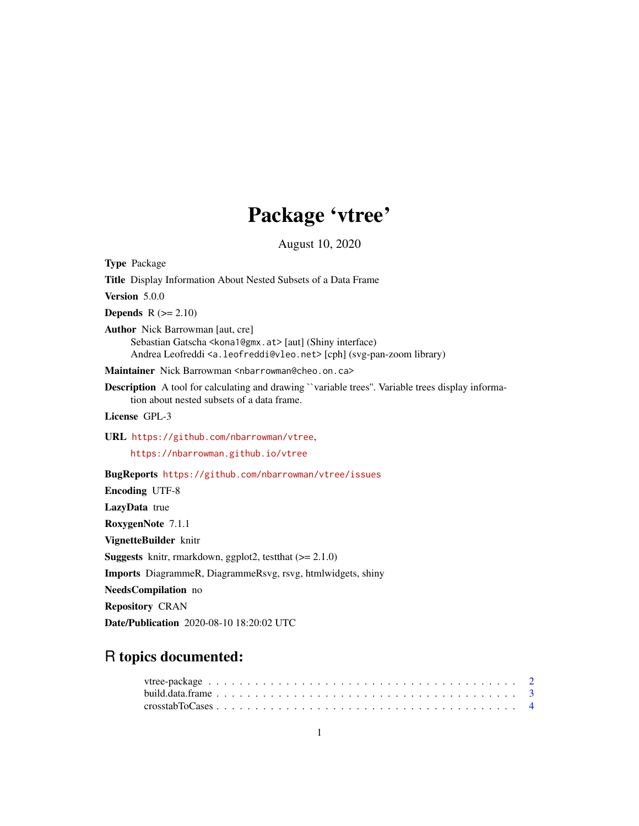# Package 'vtree'

August 10, 2020

<span id="page-0-0"></span>

| <b>Type Package</b>                                                                                                                                                                                   |  |  |  |  |  |
|-------------------------------------------------------------------------------------------------------------------------------------------------------------------------------------------------------|--|--|--|--|--|
| Title Display Information About Nested Subsets of a Data Frame                                                                                                                                        |  |  |  |  |  |
| Version 5.0.0                                                                                                                                                                                         |  |  |  |  |  |
| <b>Depends</b> $R (= 2.10)$                                                                                                                                                                           |  |  |  |  |  |
| <b>Author</b> Nick Barrowman [aut, cre]<br>Sebastian Gatscha < kona 1@gmx.at > [aut] (Shiny interface)<br>Andrea Leofreddi <a.leofreddi@vleo.net> [cph] (svg-pan-zoom library)</a.leofreddi@vleo.net> |  |  |  |  |  |
| Maintainer Nick Barrowman <nbarrowman@cheo.on.ca></nbarrowman@cheo.on.ca>                                                                                                                             |  |  |  |  |  |
| <b>Description</b> A tool for calculating and drawing "variable trees". Variable trees display informa-<br>tion about nested subsets of a data frame.                                                 |  |  |  |  |  |
| License GPL-3                                                                                                                                                                                         |  |  |  |  |  |
| URL https://github.com/nbarrowman/vtree,                                                                                                                                                              |  |  |  |  |  |
| https://nbarrowman.github.io/vtree                                                                                                                                                                    |  |  |  |  |  |
| BugReports https://github.com/nbarrowman/vtree/issues                                                                                                                                                 |  |  |  |  |  |
| <b>Encoding UTF-8</b>                                                                                                                                                                                 |  |  |  |  |  |
| LazyData true                                                                                                                                                                                         |  |  |  |  |  |
| RoxygenNote 7.1.1                                                                                                                                                                                     |  |  |  |  |  |
| VignetteBuilder knitr                                                                                                                                                                                 |  |  |  |  |  |
| <b>Suggests</b> knitr, rmarkdown, ggplot2, test that $(>= 2.1.0)$                                                                                                                                     |  |  |  |  |  |
| Imports DiagrammeR, DiagrammeRsvg, rsvg, htmlwidgets, shiny                                                                                                                                           |  |  |  |  |  |
| <b>NeedsCompilation</b> no                                                                                                                                                                            |  |  |  |  |  |
| <b>Repository CRAN</b>                                                                                                                                                                                |  |  |  |  |  |
| <b>Date/Publication</b> 2020-08-10 18:20:02 UTC                                                                                                                                                       |  |  |  |  |  |

# R topics documented:

| $\text{crosstabToCase } \dots \dots \dots \dots \dots \dots \dots \dots \dots \dots \dots \dots \dots \dots \dots \dots$ |  |  |  |  |  |  |  |  |  |  |  |  |  |  |  |  |  |  |  |  |
|--------------------------------------------------------------------------------------------------------------------------|--|--|--|--|--|--|--|--|--|--|--|--|--|--|--|--|--|--|--|--|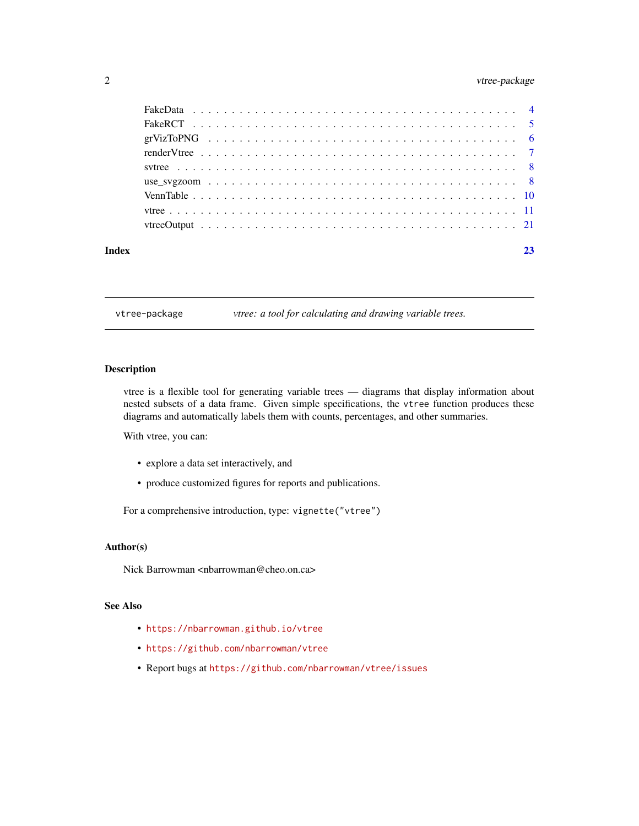# <span id="page-1-0"></span>2 vtree-package

| Index |  | 23 |
|-------|--|----|
|       |  |    |
|       |  |    |
|       |  |    |
|       |  |    |
|       |  |    |
|       |  |    |
|       |  |    |
|       |  |    |
|       |  |    |

vtree-package *vtree: a tool for calculating and drawing variable trees.*

# Description

vtree is a flexible tool for generating variable trees — diagrams that display information about nested subsets of a data frame. Given simple specifications, the vtree function produces these diagrams and automatically labels them with counts, percentages, and other summaries.

With vtree, you can:

- explore a data set interactively, and
- produce customized figures for reports and publications.

For a comprehensive introduction, type: vignette("vtree")

# Author(s)

Nick Barrowman <nbarrowman@cheo.on.ca>

#### See Also

- <https://nbarrowman.github.io/vtree>
- <https://github.com/nbarrowman/vtree>
- Report bugs at <https://github.com/nbarrowman/vtree/issues>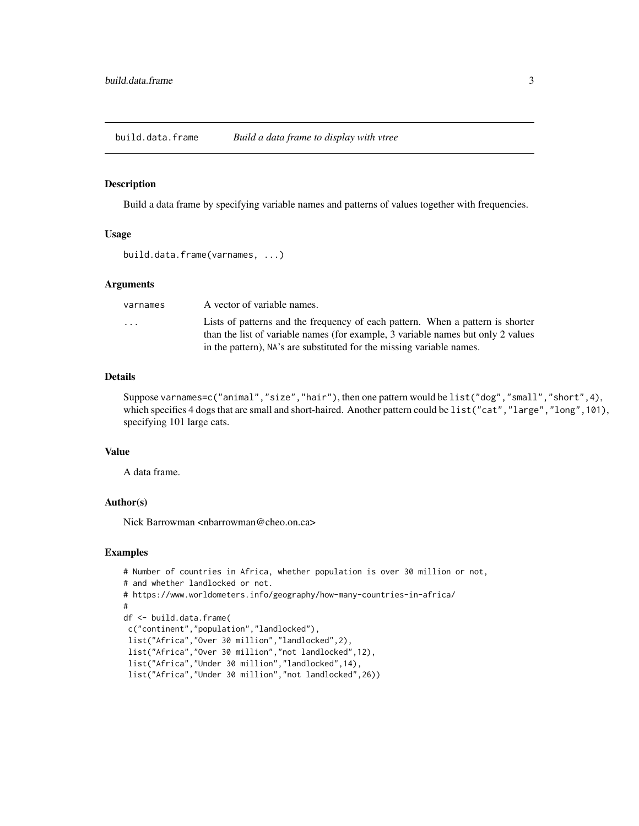<span id="page-2-0"></span>build.data.frame *Build a data frame to display with vtree*

#### Description

Build a data frame by specifying variable names and patterns of values together with frequencies.

# Usage

```
build.data.frame(varnames, ...)
```
# Arguments

| varnames | A vector of variable names.                                                      |
|----------|----------------------------------------------------------------------------------|
| .        | Lists of patterns and the frequency of each pattern. When a pattern is shorter   |
|          | than the list of variable names (for example, 3 variable names but only 2 values |
|          | in the pattern), NA's are substituted for the missing variable names.            |

#### Details

Suppose varnames=c("animal","size","hair"), then one pattern would be list("dog","small","short",4), which specifies 4 dogs that are small and short-haired. Another pattern could be list("cat", "large", "long", 101), specifying 101 large cats.

#### Value

A data frame.

# Author(s)

Nick Barrowman <nbarrowman@cheo.on.ca>

#### Examples

```
# Number of countries in Africa, whether population is over 30 million or not,
# and whether landlocked or not.
# https://www.worldometers.info/geography/how-many-countries-in-africa/
#
df <- build.data.frame(
c("continent","population","landlocked"),
list("Africa","Over 30 million","landlocked",2),
list("Africa","Over 30 million","not landlocked",12),
list("Africa","Under 30 million","landlocked",14),
list("Africa","Under 30 million","not landlocked",26))
```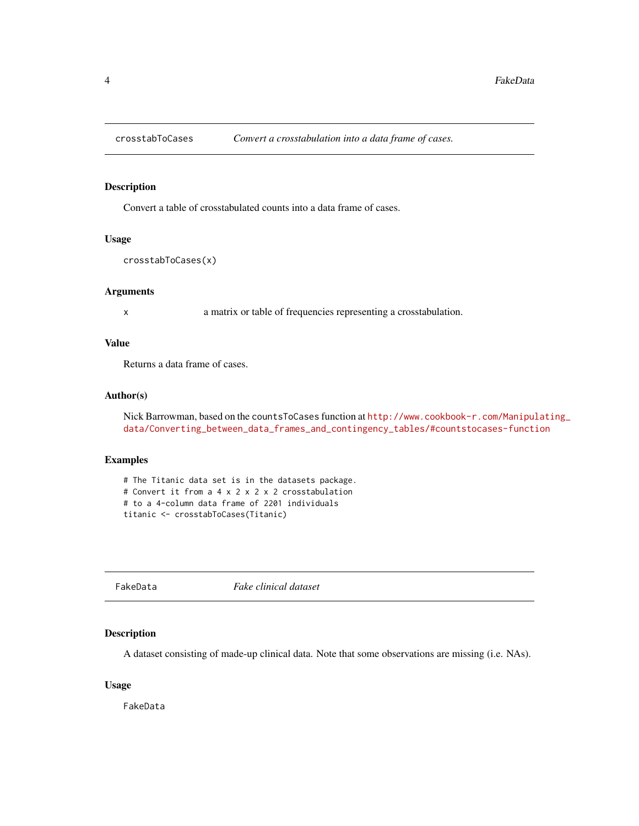<span id="page-3-0"></span>

#### Description

Convert a table of crosstabulated counts into a data frame of cases.

### Usage

crosstabToCases(x)

# Arguments

x a matrix or table of frequencies representing a crosstabulation.

### Value

Returns a data frame of cases.

# Author(s)

Nick Barrowman, based on the countsToCases function at [http://www.cookbook-r.com/Manipul](http://www.cookbook-r.com/Manipulating_data/Converting_between_data_frames_and_contingency_tables/#countstocases-function)ating\_ [data/Converting\\_between\\_data\\_frames\\_and\\_contingency\\_tables/#countstocases-function](http://www.cookbook-r.com/Manipulating_data/Converting_between_data_frames_and_contingency_tables/#countstocases-function)

### Examples

# The Titanic data set is in the datasets package. # Convert it from a 4 x 2 x 2 x 2 crosstabulation # to a 4-column data frame of 2201 individuals titanic <- crosstabToCases(Titanic)

FakeData *Fake clinical dataset*

# Description

A dataset consisting of made-up clinical data. Note that some observations are missing (i.e. NAs).

# Usage

FakeData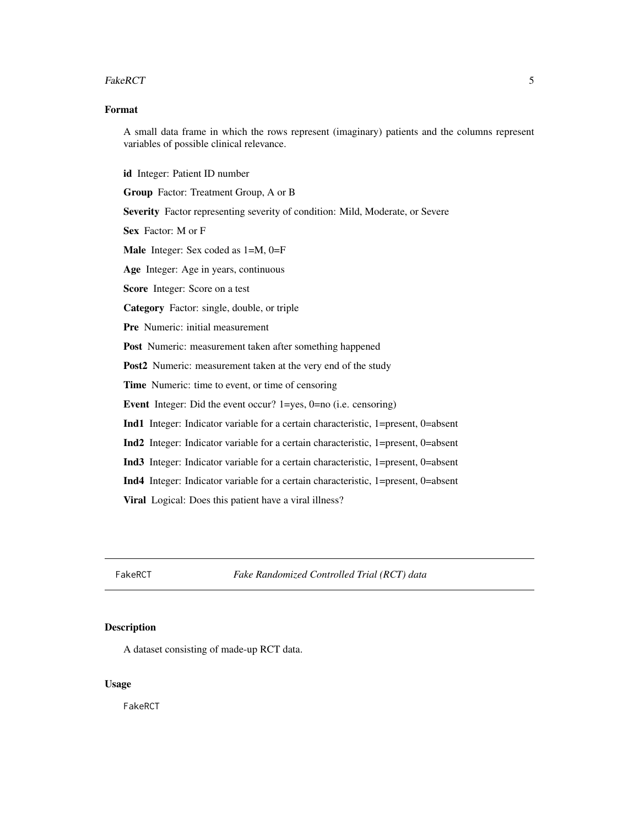#### <span id="page-4-0"></span>FakeRCT 5

# Format

A small data frame in which the rows represent (imaginary) patients and the columns represent variables of possible clinical relevance.

id Integer: Patient ID number

Group Factor: Treatment Group, A or B

Severity Factor representing severity of condition: Mild, Moderate, or Severe

Sex Factor: M or F

Male Integer: Sex coded as 1=M, 0=F

Age Integer: Age in years, continuous

Score Integer: Score on a test

Category Factor: single, double, or triple

Pre Numeric: initial measurement

Post Numeric: measurement taken after something happened

Post2 Numeric: measurement taken at the very end of the study

Time Numeric: time to event, or time of censoring

Event Integer: Did the event occur? 1=yes, 0=no (i.e. censoring)

Ind1 Integer: Indicator variable for a certain characteristic, 1=present, 0=absent

Ind2 Integer: Indicator variable for a certain characteristic, 1=present, 0=absent

Ind3 Integer: Indicator variable for a certain characteristic, 1=present, 0=absent

Ind4 Integer: Indicator variable for a certain characteristic, 1=present, 0=absent

Viral Logical: Does this patient have a viral illness?

FakeRCT *Fake Randomized Controlled Trial (RCT) data*

#### **Description**

A dataset consisting of made-up RCT data.

#### Usage

FakeRCT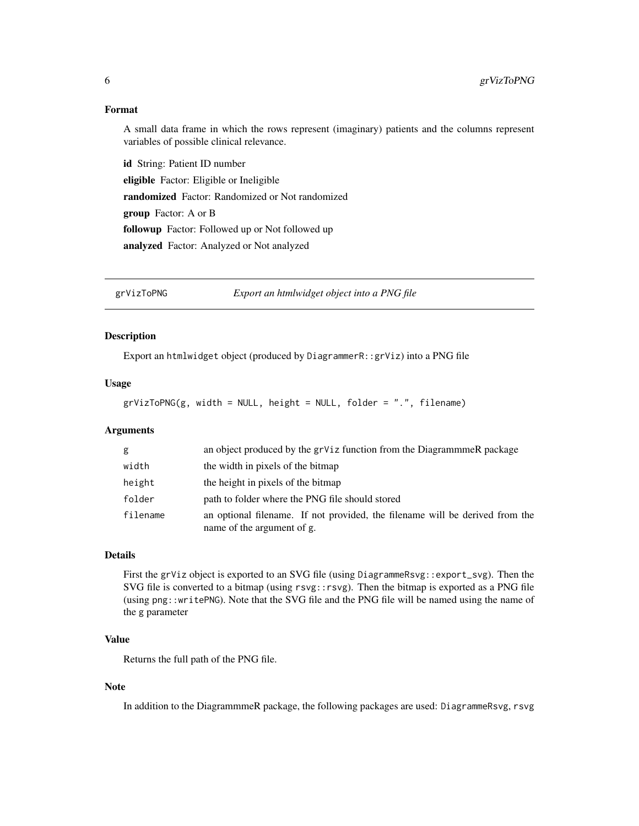# <span id="page-5-0"></span>Format

A small data frame in which the rows represent (imaginary) patients and the columns represent variables of possible clinical relevance.

id String: Patient ID number eligible Factor: Eligible or Ineligible randomized Factor: Randomized or Not randomized group Factor: A or B followup Factor: Followed up or Not followed up analyzed Factor: Analyzed or Not analyzed

grVizToPNG *Export an htmlwidget object into a PNG file*

# Description

Export an htmlwidget object (produced by DiagrammerR::grViz) into a PNG file

# Usage

 $grVizToPNG(g, width = NULL, height = NULL, folder = ".", filename)$ 

# Arguments

| g        | an object produced by the grViz function from the Diagrammer package                                       |
|----------|------------------------------------------------------------------------------------------------------------|
| width    | the width in pixels of the bitmap                                                                          |
| height   | the height in pixels of the bitmap                                                                         |
| folder   | path to folder where the PNG file should stored                                                            |
| filename | an optional filename. If not provided, the filename will be derived from the<br>name of the argument of g. |

# Details

First the grViz object is exported to an SVG file (using DiagrammeRsvg::export\_svg). Then the SVG file is converted to a bitmap (using  $rsvg$ :  $rsvg$ ). Then the bitmap is exported as a PNG file (using png::writePNG). Note that the SVG file and the PNG file will be named using the name of the g parameter

# Value

Returns the full path of the PNG file.

#### Note

In addition to the DiagrammmeR package, the following packages are used: DiagrammeRsvg, rsvg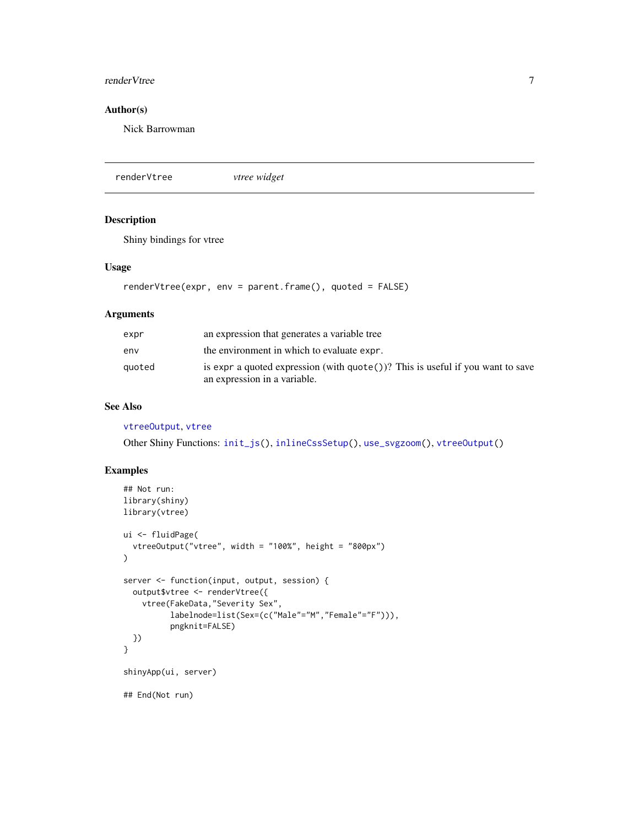#### <span id="page-6-0"></span>renderVtree 7 and 2008 and 2008 and 2008 and 2008 and 2008 and 2008 and 2008 and 2008 and 2008 and 2008 and 20

# Author(s)

Nick Barrowman

<span id="page-6-1"></span>renderVtree *vtree widget*

# Description

Shiny bindings for vtree

#### Usage

renderVtree(expr, env = parent.frame(), quoted = FALSE)

### Arguments

| expr   | an expression that generates a variable tree                                             |
|--------|------------------------------------------------------------------------------------------|
| env    | the environment in which to evaluate expr.                                               |
| quoted | is expr a quoted expression (with $\text{quote}()$ )? This is useful if you want to save |
|        | an expression in a variable.                                                             |

# See Also

#### [vtreeOutput](#page-20-1), [vtree](#page-10-1)

Other Shiny Functions: [init\\_js\(](#page-0-0)), [inlineCssSetup\(](#page-0-0)), [use\\_svgzoom\(](#page-7-1)), [vtreeOutput\(](#page-20-1))

# Examples

```
## Not run:
library(shiny)
library(vtree)
ui <- fluidPage(
  vtreeOutput("vtree", width = "100%", height = "800px")
)
server <- function(input, output, session) {
  output$vtree <- renderVtree({
   vtree(FakeData,"Severity Sex",
          labelnode=list(Sex=(c("Male"="M","Female"="F"))),
          pngknit=FALSE)
  })
}
shinyApp(ui, server)
## End(Not run)
```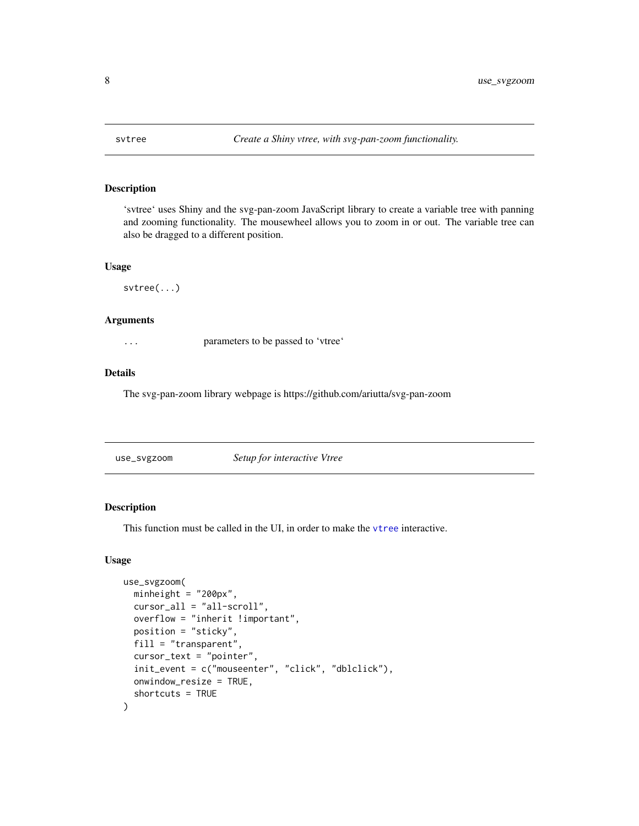<span id="page-7-0"></span>

# Description

'svtree' uses Shiny and the svg-pan-zoom JavaScript library to create a variable tree with panning and zooming functionality. The mousewheel allows you to zoom in or out. The variable tree can also be dragged to a different position.

#### Usage

svtree(...)

# Arguments

... parameters to be passed to 'vtree'

# Details

The svg-pan-zoom library webpage is https://github.com/ariutta/svg-pan-zoom

<span id="page-7-1"></span>

| Setup for interactive Vtree |
|-----------------------------|
|-----------------------------|

# Description

This function must be called in the UI, in order to make the [vtree](#page-10-1) interactive.

#### Usage

```
use_svgzoom(
 minheight = "200px",
  cursor_all = "all-scroll",
  overflow = "inherit !important",
 position = "sticky",
  fill = "transparent",
  cursor_text = "pointer",
  init_event = c("mouseenter", "click", "dblclick"),
  onwindow_resize = TRUE,
  shortcuts = TRUE
)
```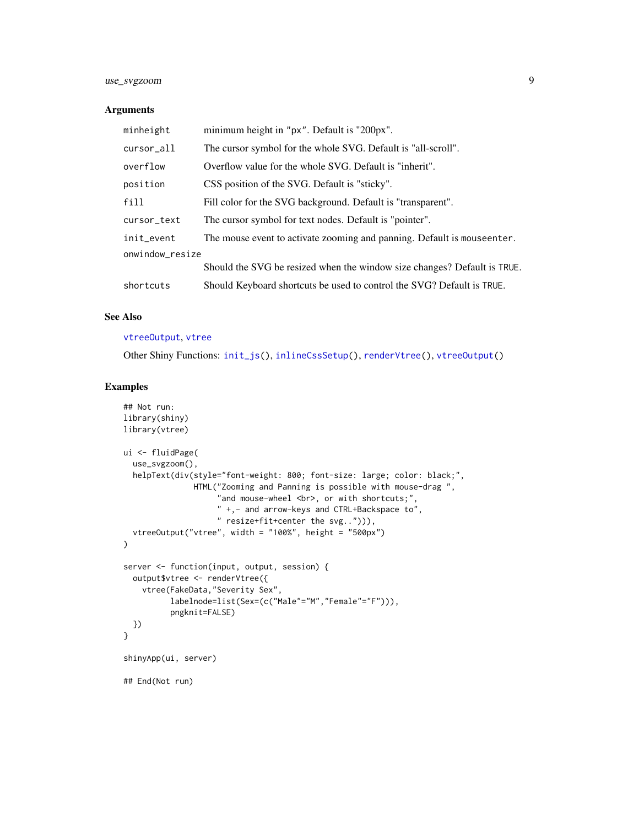# <span id="page-8-0"></span>use\_svgzoom 9

#### Arguments

| minheight       | minimum height in "px". Default is "200px".                              |
|-----------------|--------------------------------------------------------------------------|
| cursor_all      | The cursor symbol for the whole SVG. Default is "all-scroll".            |
| overflow        | Overflow value for the whole SVG. Default is "inherit".                  |
| position        | CSS position of the SVG. Default is "sticky".                            |
| fill            | Fill color for the SVG background. Default is "transparent".             |
| cursor_text     | The cursor symbol for text nodes. Default is "pointer".                  |
| init_event      | The mouse event to activate zooming and panning. Default is mouseenter.  |
| onwindow_resize |                                                                          |
|                 | Should the SVG be resized when the window size changes? Default is TRUE. |
| shortcuts       | Should Keyboard shortcuts be used to control the SVG? Default is TRUE.   |

# See Also

#### [vtreeOutput](#page-20-1), [vtree](#page-10-1)

Other Shiny Functions: [init\\_js\(](#page-0-0)), [inlineCssSetup\(](#page-0-0)), [renderVtree\(](#page-6-1)), [vtreeOutput\(](#page-20-1))

# Examples

```
## Not run:
library(shiny)
library(vtree)
ui <- fluidPage(
  use_svgzoom(),
  helpText(div(style="font-weight: 800; font-size: large; color: black;",
               HTML("Zooming and Panning is possible with mouse-drag ",
                     "and mouse-wheel <br/>>br>, or with shortcuts;",
                     " +,- and arrow-keys and CTRL+Backspace to",
                     " resize+fit+center the svg.."))),
  vtreeOutput("vtree", width = "100%", height = "500px")
\lambdaserver <- function(input, output, session) {
  output$vtree <- renderVtree({
    vtree(FakeData,"Severity Sex",
          labelnode=list(Sex=(c("Male"="M","Female"="F"))),
          pngknit=FALSE)
  })
}
shinyApp(ui, server)
## End(Not run)
```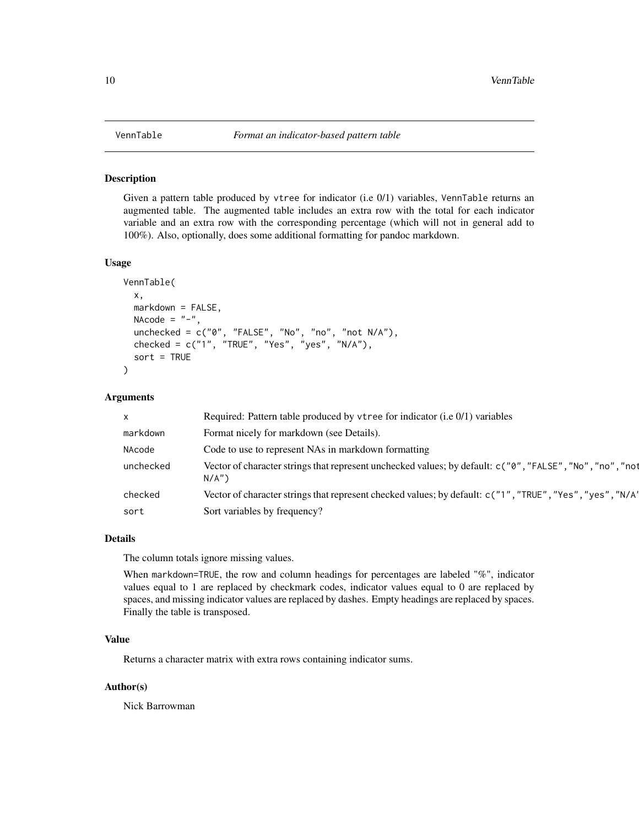<span id="page-9-0"></span>

#### Description

Given a pattern table produced by vtree for indicator (i.e 0/1) variables, VennTable returns an augmented table. The augmented table includes an extra row with the total for each indicator variable and an extra row with the corresponding percentage (which will not in general add to 100%). Also, optionally, does some additional formatting for pandoc markdown.

# Usage

```
VennTable(
  x,
 markdown = FALSE,
 NAcode = "-",
  unchecked = c("0", "FALSE", "No", "no", "not N/A"),
  checked = c("1", "TRUE", "Yes", "yes", "N/A"),sort = TRUE
)
```
# Arguments

| $\mathsf{x}$ | Required: Pattern table produced by vtree for indicator (i.e 0/1) variables                                              |
|--------------|--------------------------------------------------------------------------------------------------------------------------|
| markdown     | Format nicely for markdown (see Details).                                                                                |
| NAcode       | Code to use to represent NAs in markdown formatting                                                                      |
| unchecked    | Vector of character strings that represent unchecked values; by default: c("0", "FALSE", "No", "no", "no", "not<br>N/A'' |
| checked      | Vector of character strings that represent checked values; by default: c("1", "TRUE", "Yes", "yes", "N/A"                |
| sort         | Sort variables by frequency?                                                                                             |

# Details

The column totals ignore missing values.

When markdown=TRUE, the row and column headings for percentages are labeled "%", indicator values equal to 1 are replaced by checkmark codes, indicator values equal to 0 are replaced by spaces, and missing indicator values are replaced by dashes. Empty headings are replaced by spaces. Finally the table is transposed.

# Value

Returns a character matrix with extra rows containing indicator sums.

#### Author(s)

Nick Barrowman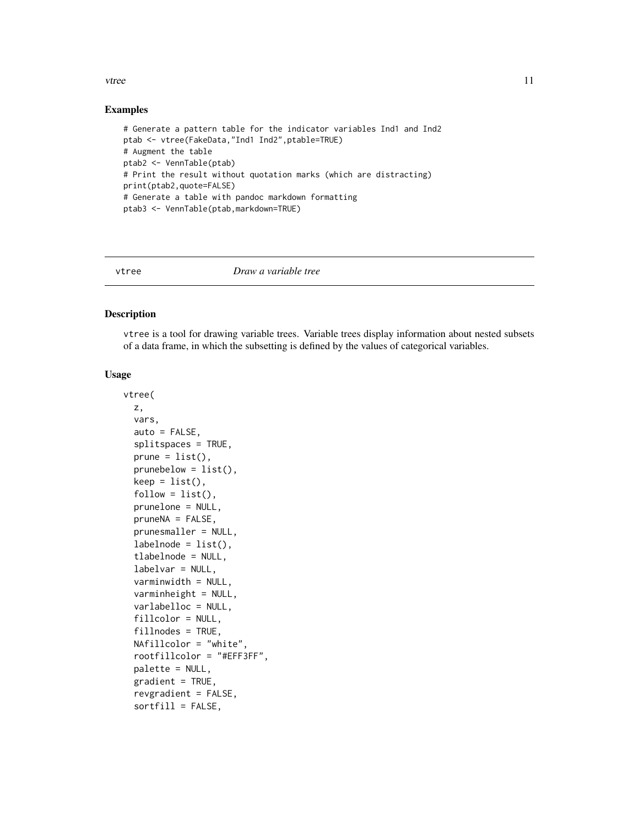### <span id="page-10-0"></span>Examples

```
# Generate a pattern table for the indicator variables Ind1 and Ind2
ptab <- vtree(FakeData,"Ind1 Ind2",ptable=TRUE)
# Augment the table
ptab2 <- VennTable(ptab)
# Print the result without quotation marks (which are distracting)
print(ptab2,quote=FALSE)
# Generate a table with pandoc markdown formatting
ptab3 <- VennTable(ptab,markdown=TRUE)
```
<span id="page-10-1"></span>

#### vtree *Draw a variable tree*

#### Description

vtree is a tool for drawing variable trees. Variable trees display information about nested subsets of a data frame, in which the subsetting is defined by the values of categorical variables.

#### Usage

```
vtree(
  z,
  vars,
  auto = FALSE,splitspaces = TRUE,
  prune = list(),
  prunebelow = list(),keep = list(),follow = list(),prunelone = NULL,
  pruneNA = FALSE,
  prunesmaller = NULL,
  labelnode = list(),
  tlabelnode = NULL,
  labelvar = NULL,
  varminwidth = NULL,
  varminheight = NULL,
  varlabelloc = NULL,
  fillcolor = NULL,
  fillnodes = TRUE,
  NAfillcolor = "white",
  rootfillcolor = "#EFF3FF",
  palette = NULL,
  gradient = TRUE,revgradient = FALSE,
  sortfill = FALSE,
```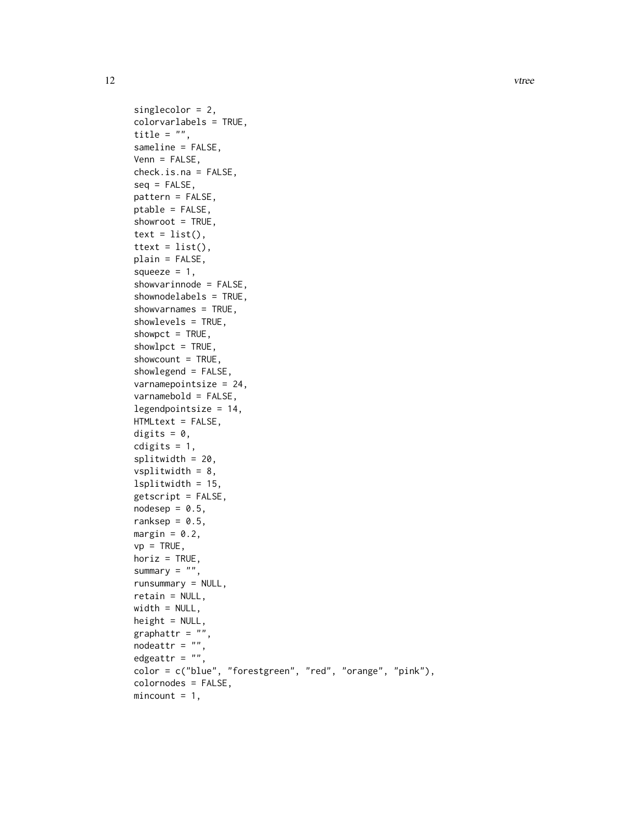```
singlecolor = 2,
colorvarlabels = TRUE,
title = "".
sameline = FALSE,
Venn = FALSE,
check.is.na = FALSE,
seq = FALSE,pattern = FALSE,
ptable = FALSE,
showroot = TRUE,text = list(),ttext = list(),plain = FALSE,
squeeze = 1,
showvarinnode = FALSE,
shownodelabels = TRUE,
showvarnames = TRUE,
showlevels = TRUE,
showpct = TRUE,
showlet = TRUE,
showcount = TRUE,
showlegend = FALSE,
varnamepointsize = 24,
varnamebold = FALSE,
legendpointsize = 14,
HTMLtext = FALSE,
digits = 0,
cdigits = 1,
splitwidth = 20,vsplitwidth = 8,lsplitwidth = 15,getscript = FALSE,
nodesep = 0.5,
ranksep = 0.5,
margin = 0.2,
vp = TRUE,horiz = TRUE,
summary = ",
runsummary = NULL,
retain = NULL,
width = NULL,
height = NULL,graphattr = ",
nodeattr = ",
edgeattr = ",
color = c("blue", "forestgreen", "red", "orange", "pink"),
colornodes = FALSE,
mincount = 1,
```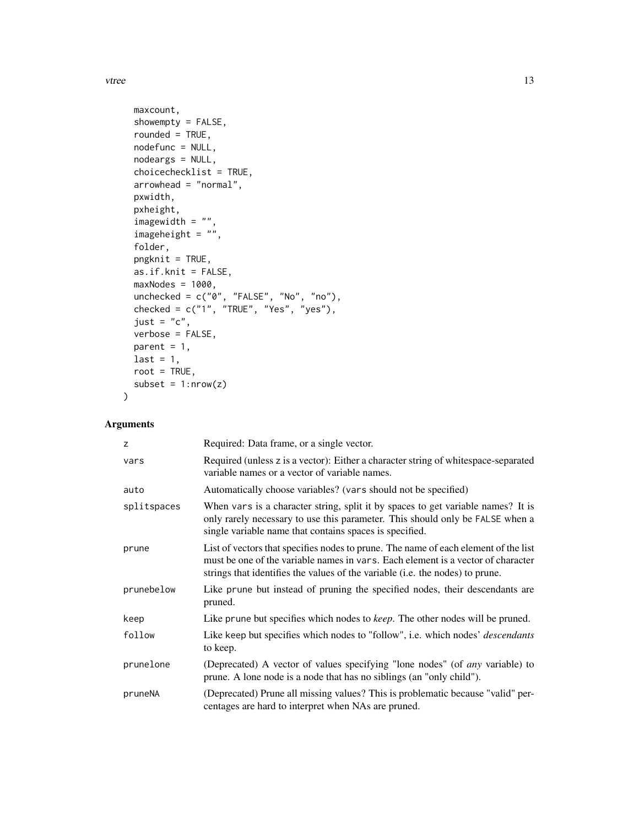```
maxcount,
  showempty = FALSE,
  rounded = TRUE,
 nodefunc = NULL,
  nodeargs = NULL,
  choicechecklist = TRUE,
  arrowhead = "normal",
 pxwidth,
  pxheight,
  imagewidth = ",
  imageheight = "",
  folder,
 pngknit = TRUE,
  as.if.knit = FALSE,
 maxNodes = 1000,unchecked = c("0", "FALSE", "No", "no"),
  checked = c("1", "TRUE", "Yes", "yes"),
  just = "c",verbose = FALSE,
 parent = 1,
 last = 1,root = TRUE,
  subset = 1: nrow(z)\mathcal{L}
```
# Arguments

| z           | Required: Data frame, or a single vector.                                                                                                                                                                                                                |
|-------------|----------------------------------------------------------------------------------------------------------------------------------------------------------------------------------------------------------------------------------------------------------|
| vars        | Required (unless z is a vector): Either a character string of whitespace-separated<br>variable names or a vector of variable names.                                                                                                                      |
| auto        | Automatically choose variables? (vars should not be specified)                                                                                                                                                                                           |
| splitspaces | When vars is a character string, split it by spaces to get variable names? It is<br>only rarely necessary to use this parameter. This should only be FALSE when a<br>single variable name that contains spaces is specified.                             |
| prune       | List of vectors that specifies nodes to prune. The name of each element of the list<br>must be one of the variable names in vars. Each element is a vector of character<br>strings that identifies the values of the variable (i.e. the nodes) to prune. |
| prunebelow  | Like prune but instead of pruning the specified nodes, their descendants are<br>pruned.                                                                                                                                                                  |
| keep        | Like prune but specifies which nodes to <i>keep</i> . The other nodes will be pruned.                                                                                                                                                                    |
| follow      | Like keep but specifies which nodes to "follow", i.e. which nodes' <i>descendants</i><br>to keep.                                                                                                                                                        |
| prunelone   | (Deprecated) A vector of values specifying "lone nodes" (of <i>any</i> variable) to<br>prune. A lone node is a node that has no siblings (an "only child").                                                                                              |
| pruneNA     | (Deprecated) Prune all missing values? This is problematic because "valid" per-<br>centages are hard to interpret when NAs are pruned.                                                                                                                   |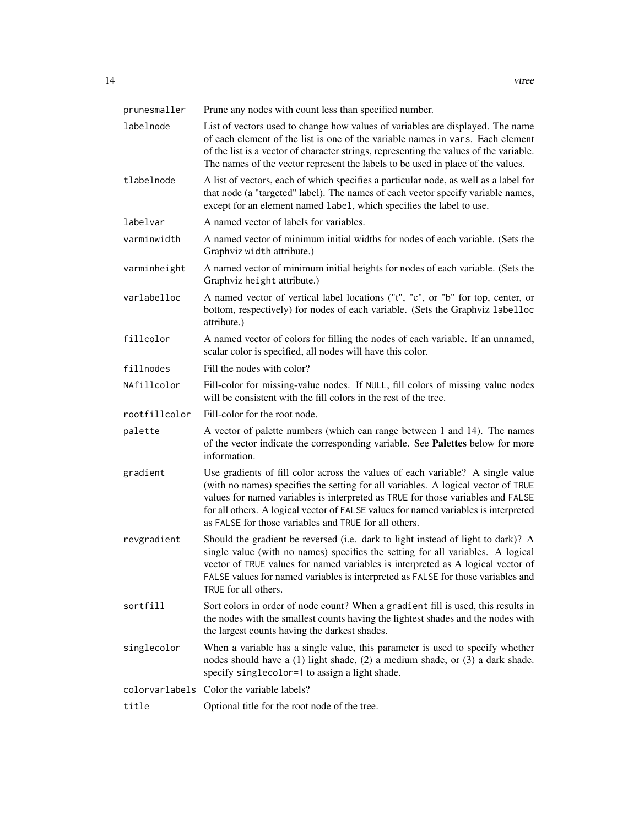| prunesmaller   | Prune any nodes with count less than specified number.                                                                                                                                                                                                                                                                                                                                                 |
|----------------|--------------------------------------------------------------------------------------------------------------------------------------------------------------------------------------------------------------------------------------------------------------------------------------------------------------------------------------------------------------------------------------------------------|
| labelnode      | List of vectors used to change how values of variables are displayed. The name<br>of each element of the list is one of the variable names in vars. Each element<br>of the list is a vector of character strings, representing the values of the variable.<br>The names of the vector represent the labels to be used in place of the values.                                                          |
| tlabelnode     | A list of vectors, each of which specifies a particular node, as well as a label for<br>that node (a "targeted" label). The names of each vector specify variable names,<br>except for an element named label, which specifies the label to use.                                                                                                                                                       |
| labelvar       | A named vector of labels for variables.                                                                                                                                                                                                                                                                                                                                                                |
| varminwidth    | A named vector of minimum initial widths for nodes of each variable. (Sets the<br>Graphviz width attribute.)                                                                                                                                                                                                                                                                                           |
| varminheight   | A named vector of minimum initial heights for nodes of each variable. (Sets the<br>Graphviz height attribute.)                                                                                                                                                                                                                                                                                         |
| varlabelloc    | A named vector of vertical label locations ("t", "c", or "b" for top, center, or<br>bottom, respectively) for nodes of each variable. (Sets the Graphviz labelloc<br>attribute.)                                                                                                                                                                                                                       |
| fillcolor      | A named vector of colors for filling the nodes of each variable. If an unnamed,<br>scalar color is specified, all nodes will have this color.                                                                                                                                                                                                                                                          |
| fillnodes      | Fill the nodes with color?                                                                                                                                                                                                                                                                                                                                                                             |
| NAfillcolor    | Fill-color for missing-value nodes. If NULL, fill colors of missing value nodes<br>will be consistent with the fill colors in the rest of the tree.                                                                                                                                                                                                                                                    |
| rootfillcolor  | Fill-color for the root node.                                                                                                                                                                                                                                                                                                                                                                          |
| palette        | A vector of palette numbers (which can range between 1 and 14). The names<br>of the vector indicate the corresponding variable. See Palettes below for more<br>information.                                                                                                                                                                                                                            |
| gradient       | Use gradients of fill color across the values of each variable? A single value<br>(with no names) specifies the setting for all variables. A logical vector of TRUE<br>values for named variables is interpreted as TRUE for those variables and FALSE<br>for all others. A logical vector of FALSE values for named variables is interpreted<br>as FALSE for those variables and TRUE for all others. |
| revgradient    | Should the gradient be reversed (i.e. dark to light instead of light to dark)? A<br>single value (with no names) specifies the setting for all variables. A logical<br>vector of TRUE values for named variables is interpreted as A logical vector of<br>FALSE values for named variables is interpreted as FALSE for those variables and                                                             |
| sortfill       | TRUE for all others.                                                                                                                                                                                                                                                                                                                                                                                   |
|                | Sort colors in order of node count? When a gradient fill is used, this results in<br>the nodes with the smallest counts having the lightest shades and the nodes with<br>the largest counts having the darkest shades.                                                                                                                                                                                 |
| singlecolor    | When a variable has a single value, this parameter is used to specify whether<br>nodes should have a (1) light shade, (2) a medium shade, or (3) a dark shade.<br>specify singlecolor=1 to assign a light shade.                                                                                                                                                                                       |
| colorvarlabels | Color the variable labels?                                                                                                                                                                                                                                                                                                                                                                             |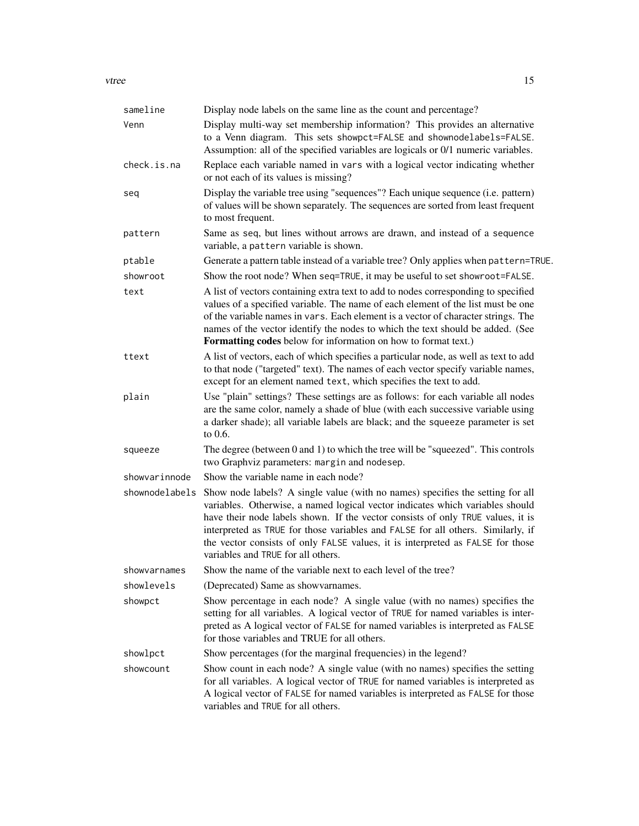| sameline       | Display node labels on the same line as the count and percentage?                                                                                                                                                                                                                                                                                                                                                                                             |
|----------------|---------------------------------------------------------------------------------------------------------------------------------------------------------------------------------------------------------------------------------------------------------------------------------------------------------------------------------------------------------------------------------------------------------------------------------------------------------------|
| Venn           | Display multi-way set membership information? This provides an alternative<br>to a Venn diagram. This sets showpct=FALSE and shownodelabels=FALSE.<br>Assumption: all of the specified variables are logicals or 0/1 numeric variables.                                                                                                                                                                                                                       |
| check.is.na    | Replace each variable named in vars with a logical vector indicating whether<br>or not each of its values is missing?                                                                                                                                                                                                                                                                                                                                         |
| seq            | Display the variable tree using "sequences"? Each unique sequence (i.e. pattern)<br>of values will be shown separately. The sequences are sorted from least frequent<br>to most frequent.                                                                                                                                                                                                                                                                     |
| pattern        | Same as seq, but lines without arrows are drawn, and instead of a sequence<br>variable, a pattern variable is shown.                                                                                                                                                                                                                                                                                                                                          |
| ptable         | Generate a pattern table instead of a variable tree? Only applies when pattern=TRUE.                                                                                                                                                                                                                                                                                                                                                                          |
| showroot       | Show the root node? When seq=TRUE, it may be useful to set showroot=FALSE.                                                                                                                                                                                                                                                                                                                                                                                    |
| text           | A list of vectors containing extra text to add to nodes corresponding to specified<br>values of a specified variable. The name of each element of the list must be one<br>of the variable names in vars. Each element is a vector of character strings. The<br>names of the vector identify the nodes to which the text should be added. (See<br><b>Formatting codes</b> below for information on how to format text.)                                        |
| ttext          | A list of vectors, each of which specifies a particular node, as well as text to add<br>to that node ("targeted" text). The names of each vector specify variable names,<br>except for an element named text, which specifies the text to add.                                                                                                                                                                                                                |
| plain          | Use "plain" settings? These settings are as follows: for each variable all nodes<br>are the same color, namely a shade of blue (with each successive variable using<br>a darker shade); all variable labels are black; and the squeeze parameter is set<br>to $0.6$ .                                                                                                                                                                                         |
| squeeze        | The degree (between 0 and 1) to which the tree will be "squeezed". This controls<br>two Graphviz parameters: margin and nodesep.                                                                                                                                                                                                                                                                                                                              |
| showvarinnode  | Show the variable name in each node?                                                                                                                                                                                                                                                                                                                                                                                                                          |
| shownodelabels | Show node labels? A single value (with no names) specifies the setting for all<br>variables. Otherwise, a named logical vector indicates which variables should<br>have their node labels shown. If the vector consists of only TRUE values, it is<br>interpreted as TRUE for those variables and FALSE for all others. Similarly, if<br>the vector consists of only FALSE values, it is interpreted as FALSE for those<br>variables and TRUE for all others. |
| showvarnames   | Show the name of the variable next to each level of the tree?                                                                                                                                                                                                                                                                                                                                                                                                 |
| showlevels     | (Deprecated) Same as showvarnames.                                                                                                                                                                                                                                                                                                                                                                                                                            |
| showpct        | Show percentage in each node? A single value (with no names) specifies the<br>setting for all variables. A logical vector of TRUE for named variables is inter-<br>preted as A logical vector of FALSE for named variables is interpreted as FALSE<br>for those variables and TRUE for all others.                                                                                                                                                            |
| showlpct       | Show percentages (for the marginal frequencies) in the legend?                                                                                                                                                                                                                                                                                                                                                                                                |
| showcount      | Show count in each node? A single value (with no names) specifies the setting<br>for all variables. A logical vector of TRUE for named variables is interpreted as<br>A logical vector of FALSE for named variables is interpreted as FALSE for those<br>variables and TRUE for all others.                                                                                                                                                                   |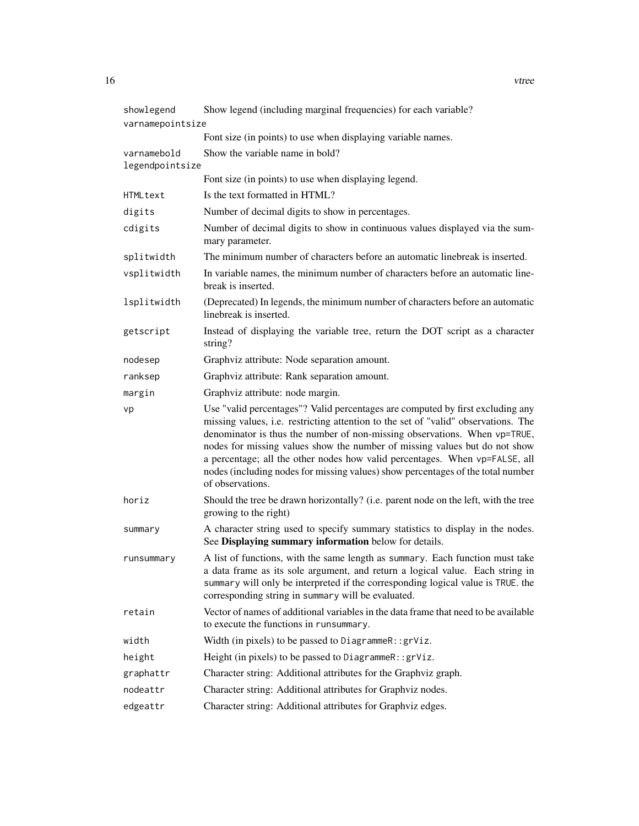| showlegend                     | Show legend (including marginal frequencies) for each variable?                                                                                                                                                                                                                                                                                                                                                                                                                                                       |  |  |  |
|--------------------------------|-----------------------------------------------------------------------------------------------------------------------------------------------------------------------------------------------------------------------------------------------------------------------------------------------------------------------------------------------------------------------------------------------------------------------------------------------------------------------------------------------------------------------|--|--|--|
| varnamepointsize               |                                                                                                                                                                                                                                                                                                                                                                                                                                                                                                                       |  |  |  |
|                                | Font size (in points) to use when displaying variable names.                                                                                                                                                                                                                                                                                                                                                                                                                                                          |  |  |  |
| varnamebold<br>legendpointsize | Show the variable name in bold?                                                                                                                                                                                                                                                                                                                                                                                                                                                                                       |  |  |  |
|                                | Font size (in points) to use when displaying legend.                                                                                                                                                                                                                                                                                                                                                                                                                                                                  |  |  |  |
| HTMLtext                       | Is the text formatted in HTML?                                                                                                                                                                                                                                                                                                                                                                                                                                                                                        |  |  |  |
| digits                         | Number of decimal digits to show in percentages.                                                                                                                                                                                                                                                                                                                                                                                                                                                                      |  |  |  |
| cdigits                        | Number of decimal digits to show in continuous values displayed via the sum-<br>mary parameter.                                                                                                                                                                                                                                                                                                                                                                                                                       |  |  |  |
| splitwidth                     | The minimum number of characters before an automatic linebreak is inserted.                                                                                                                                                                                                                                                                                                                                                                                                                                           |  |  |  |
| vsplitwidth                    | In variable names, the minimum number of characters before an automatic line-<br>break is inserted.                                                                                                                                                                                                                                                                                                                                                                                                                   |  |  |  |
| lsplitwidth                    | (Deprecated) In legends, the minimum number of characters before an automatic<br>linebreak is inserted.                                                                                                                                                                                                                                                                                                                                                                                                               |  |  |  |
| getscript                      | Instead of displaying the variable tree, return the DOT script as a character<br>string?                                                                                                                                                                                                                                                                                                                                                                                                                              |  |  |  |
| nodesep                        | Graphviz attribute: Node separation amount.                                                                                                                                                                                                                                                                                                                                                                                                                                                                           |  |  |  |
| ranksep                        | Graphviz attribute: Rank separation amount.                                                                                                                                                                                                                                                                                                                                                                                                                                                                           |  |  |  |
| margin                         | Graphviz attribute: node margin.                                                                                                                                                                                                                                                                                                                                                                                                                                                                                      |  |  |  |
| vp                             | Use "valid percentages"? Valid percentages are computed by first excluding any<br>missing values, i.e. restricting attention to the set of "valid" observations. The<br>denominator is thus the number of non-missing observations. When vp=TRUE,<br>nodes for missing values show the number of missing values but do not show<br>a percentage; all the other nodes how valid percentages. When vp=FALSE, all<br>nodes (including nodes for missing values) show percentages of the total number<br>of observations. |  |  |  |
| horiz                          | Should the tree be drawn horizontally? (i.e. parent node on the left, with the tree<br>growing to the right)                                                                                                                                                                                                                                                                                                                                                                                                          |  |  |  |
| summary                        | A character string used to specify summary statistics to display in the nodes.<br>See Displaying summary information below for details.                                                                                                                                                                                                                                                                                                                                                                               |  |  |  |
| runsummary                     | A list of functions, with the same length as summary. Each function must take<br>a data frame as its sole argument, and return a logical value. Each string in<br>summary will only be interpreted if the corresponding logical value is TRUE. the<br>corresponding string in summary will be evaluated.                                                                                                                                                                                                              |  |  |  |
| retain                         | Vector of names of additional variables in the data frame that need to be available<br>to execute the functions in runsummary.                                                                                                                                                                                                                                                                                                                                                                                        |  |  |  |
| width                          | Width (in pixels) to be passed to DiagrammeR::grViz.                                                                                                                                                                                                                                                                                                                                                                                                                                                                  |  |  |  |
| height                         | Height (in pixels) to be passed to DiagrammeR:: grViz.                                                                                                                                                                                                                                                                                                                                                                                                                                                                |  |  |  |
| graphattr                      | Character string: Additional attributes for the Graphviz graph.                                                                                                                                                                                                                                                                                                                                                                                                                                                       |  |  |  |
| nodeattr                       | Character string: Additional attributes for Graphviz nodes.                                                                                                                                                                                                                                                                                                                                                                                                                                                           |  |  |  |
| edgeattr                       | Character string: Additional attributes for Graphviz edges.                                                                                                                                                                                                                                                                                                                                                                                                                                                           |  |  |  |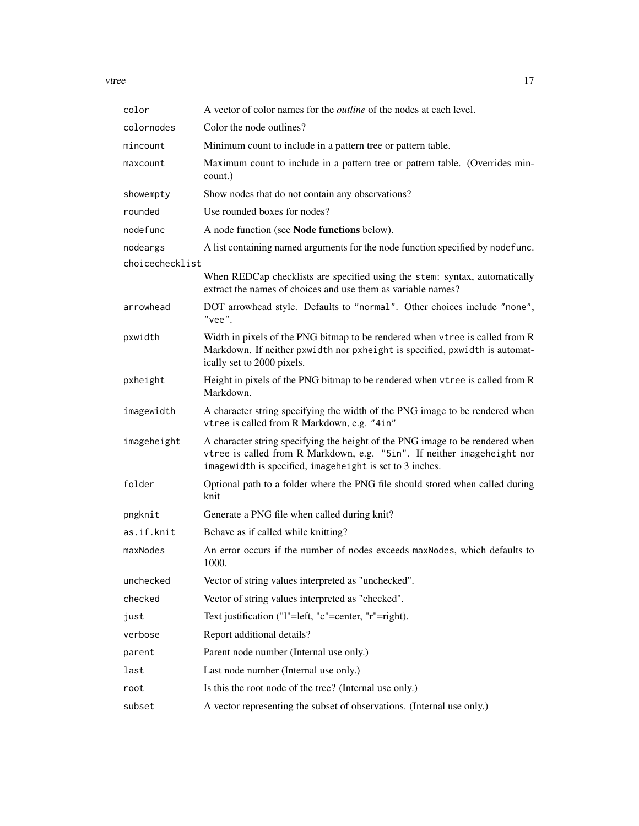vtree the contract of the contract of the contract of the contract of the contract of the contract of the contract of the contract of the contract of the contract of the contract of the contract of the contract of the cont

| color           | A vector of color names for the <i>outline</i> of the nodes at each level.                                                                                                                                           |
|-----------------|----------------------------------------------------------------------------------------------------------------------------------------------------------------------------------------------------------------------|
| colornodes      | Color the node outlines?                                                                                                                                                                                             |
| mincount        | Minimum count to include in a pattern tree or pattern table.                                                                                                                                                         |
| maxcount        | Maximum count to include in a pattern tree or pattern table. (Overrides min-<br>count.)                                                                                                                              |
| showempty       | Show nodes that do not contain any observations?                                                                                                                                                                     |
| rounded         | Use rounded boxes for nodes?                                                                                                                                                                                         |
| nodefunc        | A node function (see Node functions below).                                                                                                                                                                          |
| nodeargs        | A list containing named arguments for the node function specified by nodefunc.                                                                                                                                       |
| choicechecklist |                                                                                                                                                                                                                      |
|                 | When REDCap checklists are specified using the stem: syntax, automatically<br>extract the names of choices and use them as variable names?                                                                           |
| arrowhead       | DOT arrowhead style. Defaults to "normal". Other choices include "none",<br>"vee".                                                                                                                                   |
| pxwidth         | Width in pixels of the PNG bitmap to be rendered when vtree is called from R<br>Markdown. If neither pxwidth nor pxheight is specified, pxwidth is automat-<br>ically set to 2000 pixels.                            |
| pxheight        | Height in pixels of the PNG bitmap to be rendered when vtree is called from R<br>Markdown.                                                                                                                           |
| imagewidth      | A character string specifying the width of the PNG image to be rendered when<br>vtree is called from R Markdown, e.g. "4in"                                                                                          |
| imageheight     | A character string specifying the height of the PNG image to be rendered when<br>vtree is called from R Markdown, e.g. "5in". If neither imageheight nor<br>imagewidth is specified, imageheight is set to 3 inches. |
| folder          | Optional path to a folder where the PNG file should stored when called during<br>knit                                                                                                                                |
| pngknit         | Generate a PNG file when called during knit?                                                                                                                                                                         |
| as.if.knit      | Behave as if called while knitting?                                                                                                                                                                                  |
| maxNodes        | An error occurs if the number of nodes exceeds maxNodes, which defaults to<br>1000.                                                                                                                                  |
| unchecked       | Vector of string values interpreted as "unchecked".                                                                                                                                                                  |
| checked         | Vector of string values interpreted as "checked".                                                                                                                                                                    |
| just            | Text justification ("1"=left, "c"=center, "r"=right).                                                                                                                                                                |
| verbose         | Report additional details?                                                                                                                                                                                           |
| parent          | Parent node number (Internal use only.)                                                                                                                                                                              |
| last            | Last node number (Internal use only.)                                                                                                                                                                                |
| root            | Is this the root node of the tree? (Internal use only.)                                                                                                                                                              |
| subset          | A vector representing the subset of observations. (Internal use only.)                                                                                                                                               |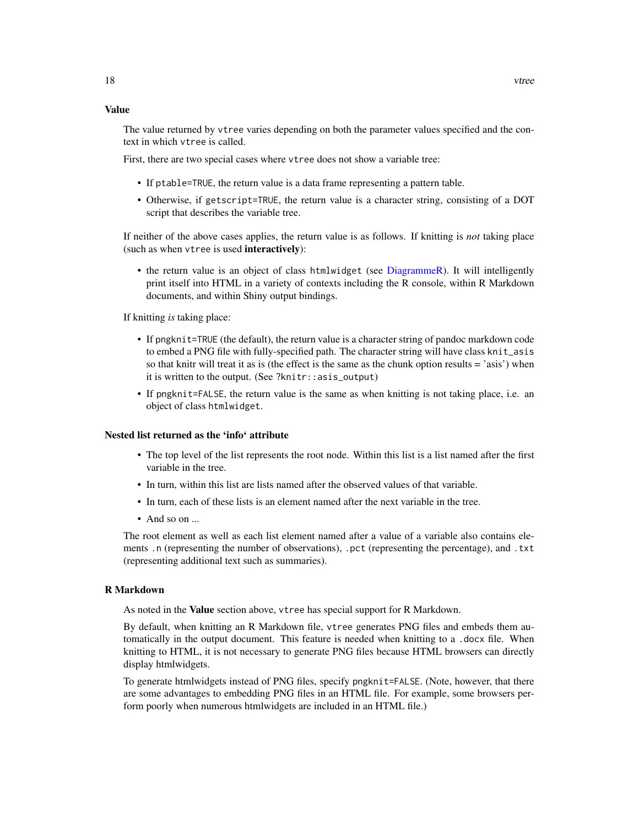#### <span id="page-17-0"></span>Value

The value returned by vtree varies depending on both the parameter values specified and the context in which vtree is called.

First, there are two special cases where vtree does not show a variable tree:

- If ptable=TRUE, the return value is a data frame representing a pattern table.
- Otherwise, if getscript=TRUE, the return value is a character string, consisting of a DOT script that describes the variable tree.

If neither of the above cases applies, the return value is as follows. If knitting is *not* taking place (such as when vtree is used interactively):

• the return value is an object of class htmlwidget (see [DiagrammeR\)](#page-0-0). It will intelligently print itself into HTML in a variety of contexts including the R console, within R Markdown documents, and within Shiny output bindings.

If knitting *is* taking place:

- If pngknit=TRUE (the default), the return value is a character string of pandoc markdown code to embed a PNG file with fully-specified path. The character string will have class knit\_asis so that knitr will treat it as is (the effect is the same as the chunk option results = 'asis') when it is written to the output. (See ?knitr::asis\_output)
- If pngknit=FALSE, the return value is the same as when knitting is not taking place, i.e. an object of class htmlwidget.

### Nested list returned as the 'info' attribute

- The top level of the list represents the root node. Within this list is a list named after the first variable in the tree.
- In turn, within this list are lists named after the observed values of that variable.
- In turn, each of these lists is an element named after the next variable in the tree.
- And so on  $\ldots$

The root element as well as each list element named after a value of a variable also contains elements .n (representing the number of observations), .pct (representing the percentage), and .txt (representing additional text such as summaries).

#### R Markdown

As noted in the Value section above, vtree has special support for R Markdown.

By default, when knitting an R Markdown file, vtree generates PNG files and embeds them automatically in the output document. This feature is needed when knitting to a .docx file. When knitting to HTML, it is not necessary to generate PNG files because HTML browsers can directly display htmlwidgets.

To generate htmlwidgets instead of PNG files, specify pngknit=FALSE. (Note, however, that there are some advantages to embedding PNG files in an HTML file. For example, some browsers perform poorly when numerous htmlwidgets are included in an HTML file.)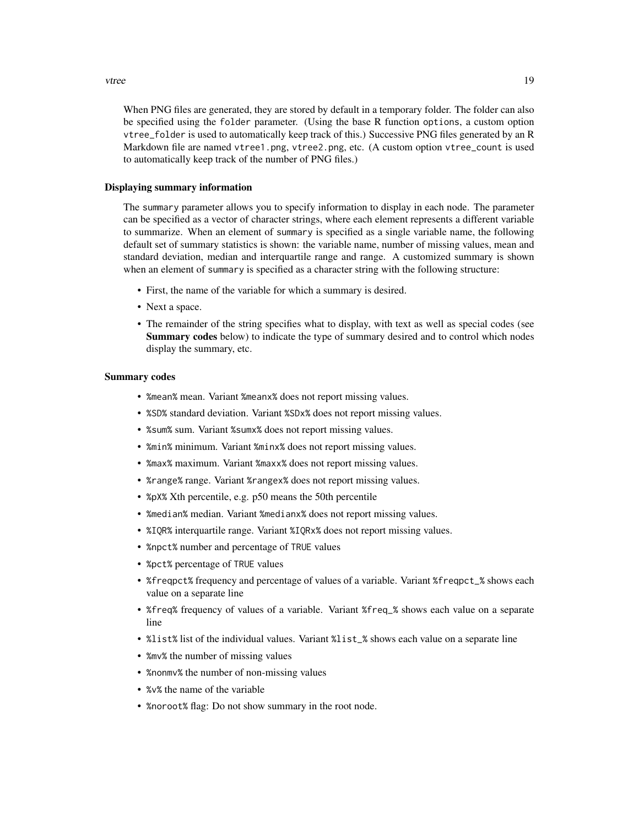When PNG files are generated, they are stored by default in a temporary folder. The folder can also be specified using the folder parameter. (Using the base R function options, a custom option vtree\_folder is used to automatically keep track of this.) Successive PNG files generated by an R Markdown file are named vtree1.png, vtree2.png, etc. (A custom option vtree\_count is used to automatically keep track of the number of PNG files.)

#### Displaying summary information

The summary parameter allows you to specify information to display in each node. The parameter can be specified as a vector of character strings, where each element represents a different variable to summarize. When an element of summary is specified as a single variable name, the following default set of summary statistics is shown: the variable name, number of missing values, mean and standard deviation, median and interquartile range and range. A customized summary is shown when an element of summary is specified as a character string with the following structure:

- First, the name of the variable for which a summary is desired.
- Next a space.
- The remainder of the string specifies what to display, with text as well as special codes (see **Summary codes** below) to indicate the type of summary desired and to control which nodes display the summary, etc.

#### Summary codes

- %mean% mean. Variant %meanx% does not report missing values.
- %SD% standard deviation. Variant %SDx% does not report missing values.
- %sum% sum. Variant %sumx% does not report missing values.
- %min% minimum. Variant %minx% does not report missing values.
- %max% maximum. Variant %maxx% does not report missing values.
- %range% range. Variant %rangex% does not report missing values.
- %pX% Xth percentile, e.g. p50 means the 50th percentile
- % median% median. Variant % medianx% does not report missing values.
- %IQR% interquartile range. Variant %IQRx% does not report missing values.
- %npct% number and percentage of TRUE values
- %pct% percentage of TRUE values
- *%freqpct% frequency and percentage of values of a variable. Variant %freqpct\_% shows each* value on a separate line
- %freq% frequency of values of a variable. Variant %freq\_% shows each value on a separate line
- %list% list of the individual values. Variant %list\_% shows each value on a separate line
- %mv% the number of missing values
- %nonmv% the number of non-missing values
- %v% the name of the variable
- %noroot% flag: Do not show summary in the root node.

#### vtree 19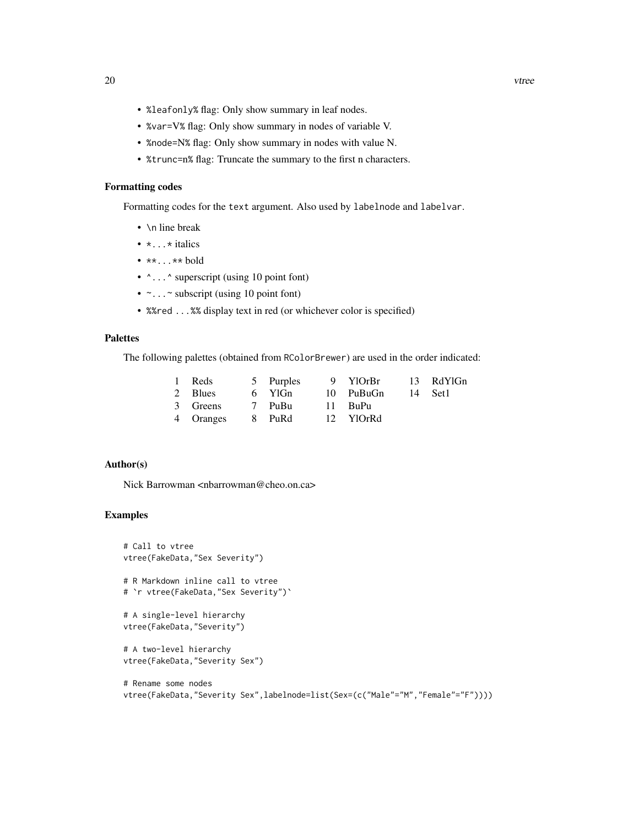- %leafonly% flag: Only show summary in leaf nodes.
- %var=V% flag: Only show summary in nodes of variable V.
- %node=N% flag: Only show summary in nodes with value N.
- %trunc=n% flag: Truncate the summary to the first n characters.

#### Formatting codes

Formatting codes for the text argument. Also used by labelnode and labelvar.

- \n line break
- $\bullet \star \dots \star$  italics
- $\bullet$  \*\*...\*\* bold
- $\land \dots \land$  superscript (using 10 point font)
- $\sim$ ... $\sim$  subscript (using 10 point font)
- %%red ...%% display text in red (or whichever color is specified)

# Palettes

The following palettes (obtained from RColorBrewer) are used in the order indicated:

| 1 Reds                     |  | 5 Purples 9 YlOrBr 13 RdYlGn |  |
|----------------------------|--|------------------------------|--|
| 2 Blues                    |  | 6 YlGn 10 PuBuGn 14 Set1     |  |
| 3 Greens 7 PuBu 11 BuPu    |  |                              |  |
| 4 Oranges 8 PuRd 12 YlOrRd |  |                              |  |

# Author(s)

Nick Barrowman <nbarrowman@cheo.on.ca>

# Examples

```
# Call to vtree
vtree(FakeData,"Sex Severity")
# R Markdown inline call to vtree
# `r vtree(FakeData,"Sex Severity")`
# A single-level hierarchy
vtree(FakeData,"Severity")
# A two-level hierarchy
vtree(FakeData,"Severity Sex")
# Rename some nodes
```
vtree(FakeData,"Severity Sex",labelnode=list(Sex=(c("Male"="M","Female"="F"))))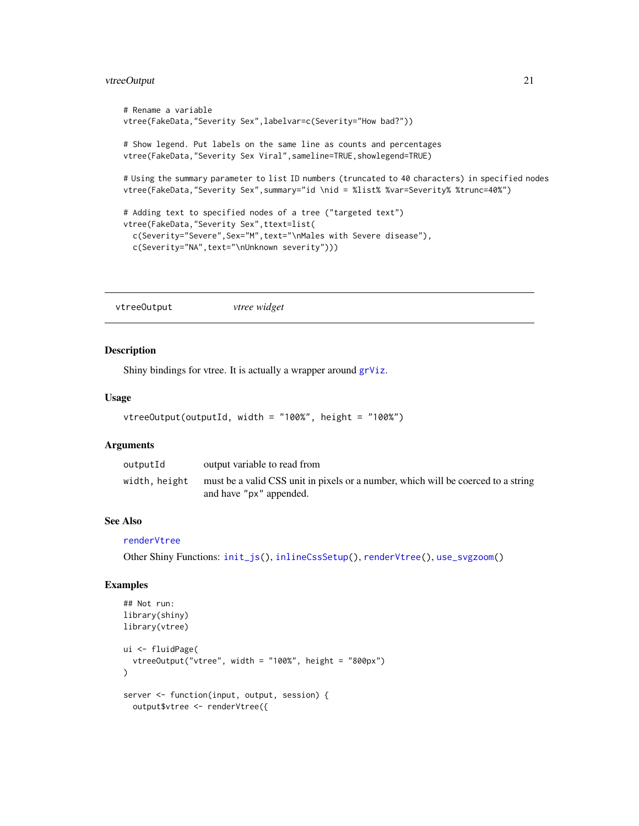# <span id="page-20-0"></span>vtreeOutput 21

```
# Rename a variable
vtree(FakeData,"Severity Sex",labelvar=c(Severity="How bad?"))
# Show legend. Put labels on the same line as counts and percentages
vtree(FakeData,"Severity Sex Viral", sameline=TRUE, showlegend=TRUE)
# Using the summary parameter to list ID numbers (truncated to 40 characters) in specified nodes
vtree(FakeData,"Severity Sex",summary="id \nid = %list% %var=Severity% %trunc=40%")
# Adding text to specified nodes of a tree ("targeted text")
vtree(FakeData,"Severity Sex",ttext=list(
 c(Severity="Severe",Sex="M",text="\nMales with Severe disease"),
 c(Severity="NA",text="\nUnknown severity")))
```
<span id="page-20-1"></span>vtreeOutput *vtree widget*

#### Description

Shiny bindings for vtree. It is actually a wrapper around [grViz](#page-0-0).

#### Usage

```
vtreeOutput(outputId, width = "100%", height = "100%")
```
#### Arguments

| outputId      | output variable to read from                                                                                 |
|---------------|--------------------------------------------------------------------------------------------------------------|
| width, height | must be a valid CSS unit in pixels or a number, which will be coerced to a string<br>and have "px" appended. |

# See Also

[renderVtree](#page-6-1)

Other Shiny Functions: [init\\_js\(](#page-0-0)), [inlineCssSetup\(](#page-0-0)), [renderVtree\(](#page-6-1)), [use\\_svgzoom\(](#page-7-1))

# Examples

```
## Not run:
library(shiny)
library(vtree)
ui <- fluidPage(
  vtreeOutput("vtree", width = "100%", height = "800px")
)
server <- function(input, output, session) {
  output$vtree <- renderVtree({
```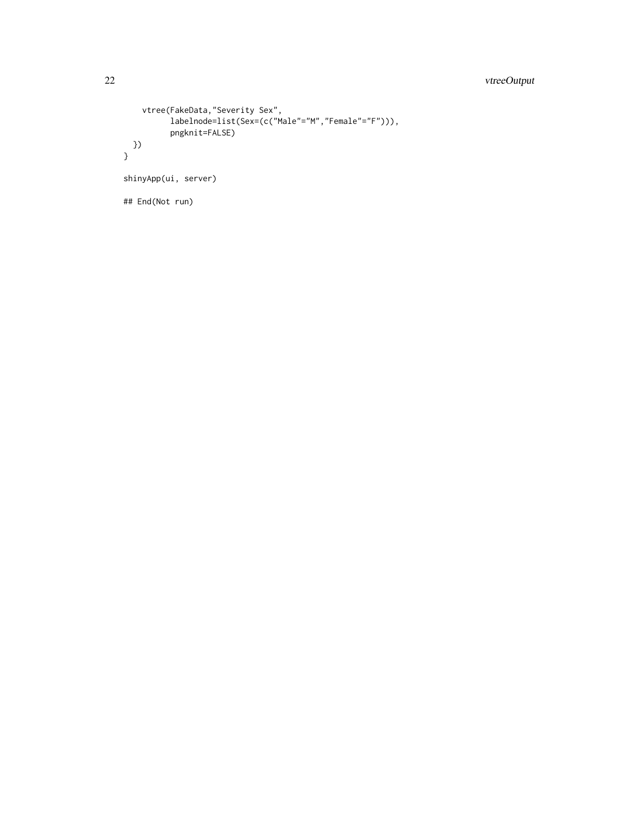# 22 vtreeOutput

```
vtree(FakeData,"Severity Sex",
          labelnode=list(Sex=(c("Male"="M","Female"="F"))),
          pngknit=FALSE)
 })
}
shinyApp(ui, server)
## End(Not run)
```